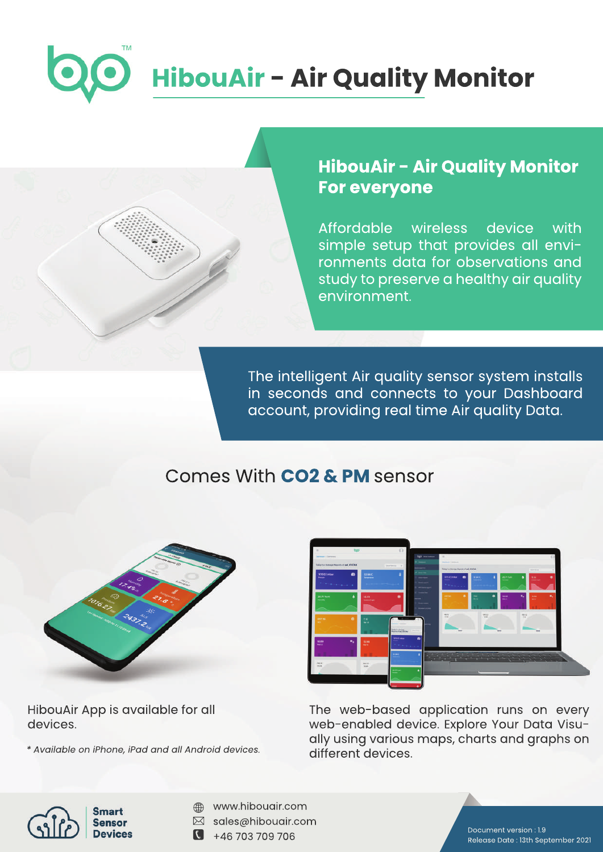# **HibouAir - Air Quality Monitor**

## **HibouAir - Air Quality Monitor For everyone**

Affordable wireless device with simple setup that provides all environments data for observations and study to preserve a healthy air quality environment.

The intelligent Air quality sensor system installs in seconds and connects to your Dashboard account, providing real time Air quality Data.

## Comes With **CO2 & PM** sensor



HibouAir App is available for all devices.

*\*AvailableoniPhone,iPadandallAndroiddevices.*



The web-based application runs on every web-enabled device. Explore Your Data Visually using various maps, charts and graphs on different devices.



**Smart** Sensor Devices

- www.hibouair.com
- $\boxtimes$  sales@hibouair.com
- $\bullet$  +46 703 709 706

Document version: 1.9 Release Date: 13th September 2021